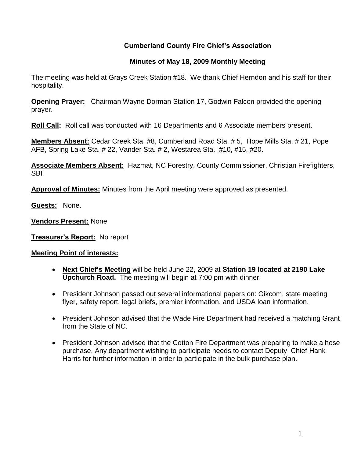## **Cumberland County Fire Chief's Association**

### **Minutes of May 18, 2009 Monthly Meeting**

The meeting was held at Grays Creek Station #18. We thank Chief Herndon and his staff for their hospitality.

**Opening Prayer:** Chairman Wayne Dorman Station 17, Godwin Falcon provided the opening prayer.

**Roll Call:** Roll call was conducted with 16 Departments and 6 Associate members present.

**Members Absent:** Cedar Creek Sta. #8, Cumberland Road Sta. # 5, Hope Mills Sta. # 21, Pope AFB, Spring Lake Sta. # 22, Vander Sta. # 2, Westarea Sta. #10, #15, #20.

**Associate Members Absent:** Hazmat, NC Forestry, County Commissioner, Christian Firefighters, **SBI** 

**Approval of Minutes:** Minutes from the April meeting were approved as presented.

**Guests:** None.

**Vendors Present:** None

**Treasurer's Report:** No report

#### **Meeting Point of interests:**

- **Next Chief's Meeting** will be held June 22, 2009 at **Station 19 located at 2190 Lake Upchurch Road.** The meeting will begin at 7:00 pm with dinner.
- President Johnson passed out several informational papers on: Oikcom, state meeting flyer, safety report, legal briefs, premier information, and USDA loan information.
- President Johnson advised that the Wade Fire Department had received a matching Grant from the State of NC.
- President Johnson advised that the Cotton Fire Department was preparing to make a hose purchase. Any department wishing to participate needs to contact Deputy Chief Hank Harris for further information in order to participate in the bulk purchase plan.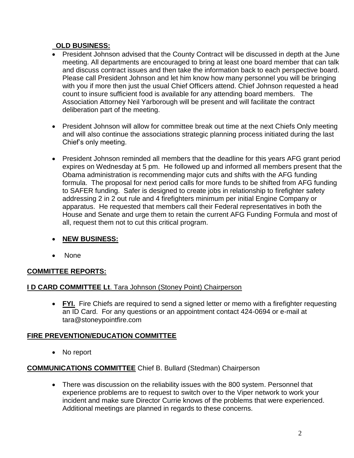## **OLD BUSINESS:**

- President Johnson advised that the County Contract will be discussed in depth at the June meeting. All departments are encouraged to bring at least one board member that can talk and discuss contract issues and then take the information back to each perspective board. Please call President Johnson and let him know how many personnel you will be bringing with you if more then just the usual Chief Officers attend. Chief Johnson requested a head count to insure sufficient food is available for any attending board members. The Association Attorney Neil Yarborough will be present and will facilitate the contract deliberation part of the meeting.
- President Johnson will allow for committee break out time at the next Chiefs Only meeting and will also continue the associations strategic planning process initiated during the last Chief's only meeting.
- President Johnson reminded all members that the deadline for this years AFG grant period expires on Wednesday at 5 pm. He followed up and informed all members present that the Obama administration is recommending major cuts and shifts with the AFG funding formula. The proposal for next period calls for more funds to be shifted from AFG funding to SAFER funding. Safer is designed to create jobs in relationship to firefighter safety addressing 2 in 2 out rule and 4 firefighters minimum per initial Engine Company or apparatus. He requested that members call their Federal representatives in both the House and Senate and urge them to retain the current AFG Funding Formula and most of all, request them not to cut this critical program.

# **NEW BUSINESS:**

• None

# **COMMITTEE REPORTS:**

### **I D CARD COMMITTEE Lt**. Tara Johnson (Stoney Point) Chairperson

 **FYI.** Fire Chiefs are required to send a signed letter or memo with a firefighter requesting an ID Card. For any questions or an appointment contact 424-0694 or e-mail at [tara@stoneypointfire.com](mailto:tara@stoneypointfire.com)

# **FIRE PREVENTION/EDUCATION COMMITTEE**

• No report

### **COMMUNICATIONS COMMITTEE** Chief B. Bullard (Stedman) Chairperson

 There was discussion on the reliability issues with the 800 system. Personnel that experience problems are to request to switch over to the Viper network to work your incident and make sure Director Currie knows of the problems that were experienced. Additional meetings are planned in regards to these concerns.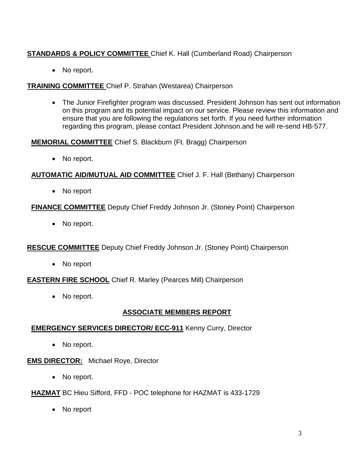# **STANDARDS & POLICY COMMITTEE** Chief K. Hall (Cumberland Road) Chairperson

• No report.

### **TRAINING COMMITTEE** Chief P. Strahan (Westarea) Chairperson

 The Junior Firefighter program was discussed. President Johnson has sent out information on this program and its potential impact on our service. Please review this information and ensure that you are following the regulations set forth. If you need further information regarding this program, please contact President Johnson.and he will re-send HB-577.

### **MEMORIAL COMMITTEE** Chief S. Blackburn (Ft. Bragg) Chairperson

• No report.

## **AUTOMATIC AID/MUTUAL AID COMMITTEE** Chief J. F. Hall (Bethany) Chairperson

• No report

# **FINANCE COMMITTEE** Deputy Chief Freddy Johnson Jr. (Stoney Point) Chairperson

• No report.

# **RESCUE COMMITTEE** Deputy Chief Freddy Johnson Jr. (Stoney Point) Chairperson

No report

# **EASTERN FIRE SCHOOL** Chief R. Marley (Pearces Mill) Chairperson

• No report.

# **ASSOCIATE MEMBERS REPORT**

# **EMERGENCY SERVICES DIRECTOR/ ECC-911** Kenny Curry, Director

• No report.

### **EMS DIRECTOR:** Michael Roye, Director

- No report.
- **HAZMAT** BC Hieu Sifford, FFD POC telephone for HAZMAT is 433-1729
	- No report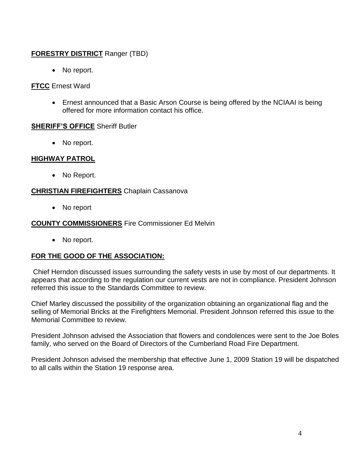## **FORESTRY DISTRICT** Ranger (TBD)

• No report.

#### **FTCC** Ernest Ward

 Ernest announced that a Basic Arson Course is being offered by the NCIAAI is being offered for more information contact his office.

#### **SHERIFF'S OFFICE** Sheriff Butler

• No report.

#### **HIGHWAY PATROL**

• No Report.

#### **CHRISTIAN FIREFIGHTERS** Chaplain Cassanova

• No report

### **COUNTY COMMISSIONERS** Fire Commissioner Ed Melvin

• No report.

### **FOR THE GOOD OF THE ASSOCIATION:**

Chief Herndon discussed issues surrounding the safety vests in use by most of our departments. It appears that according to the regulation our current vests are not in compliance. President Johnson referred this issue to the Standards Committee to review.

Chief Marley discussed the possibility of the organization obtaining an organizational flag and the selling of Memorial Bricks at the Firefighters Memorial. President Johnson referred this issue to the Memorial Committee to review.

President Johnson advised the Association that flowers and condolences were sent to the Joe Boles family, who served on the Board of Directors of the Cumberland Road Fire Department.

President Johnson advised the membership that effective June 1, 2009 Station 19 will be dispatched to all calls within the Station 19 response area.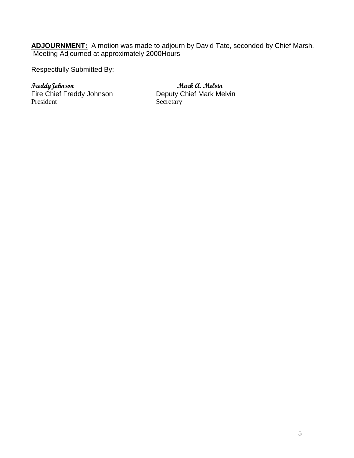**ADJOURNMENT:** A motion was made to adjourn by David Tate, seconded by Chief Marsh. Meeting Adjourned at approximately 2000Hours

Respectfully Submitted By:

**FreddyJohnson**<br>Fire Chief Freddy Johnson **Mark A. Melvin**<br>Deputy Chief Mark Melvin Fire Chief Freddy Johnson President Secretary